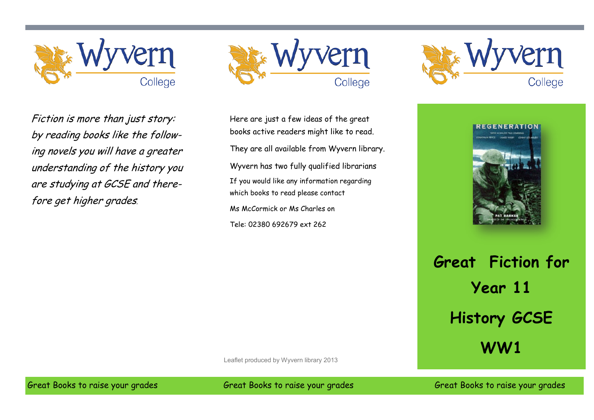



Fiction is more than just story: by reading books like the following novels you will have a greater understanding of the history you are studying at GCSE and therefore get higher grades.

Here are just a few ideas of the great books active readers might like to read. They are all available from Wyvern library. Wyvern has two fully qualified librarians If you would like any information regarding which books to read please contact Ms McCormick or Ms Charles on Tele: 02380 692679 ext 262



**REGENERATION** 

**Great Fiction for Year 11 History GCSE WW1**

Leaflet produced by Wyvern library 2013